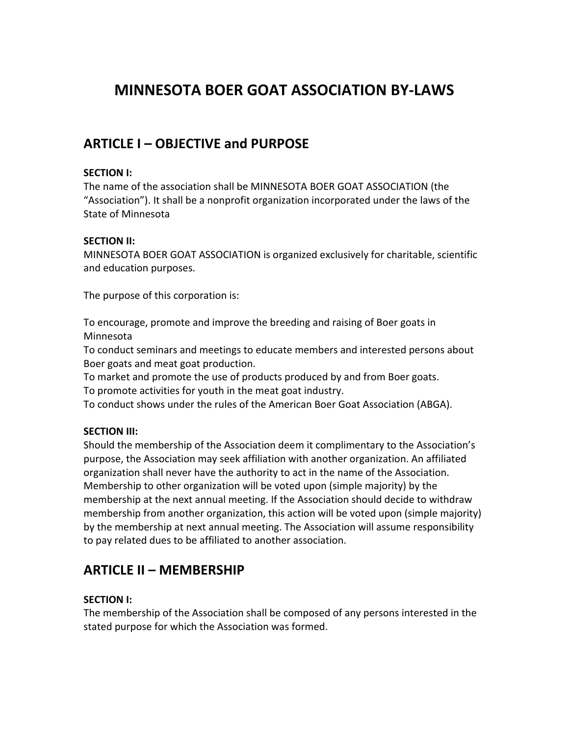# **MINNESOTA BOER GOAT ASSOCIATION BY-LAWS**

## **ARTICLE I – OBJECTIVE and PURPOSE**

#### **SECTION I:**

The name of the association shall be MINNESOTA BOER GOAT ASSOCIATION (the "Association"). It shall be a nonprofit organization incorporated under the laws of the State of Minnesota

#### **SECTION II:**

MINNESOTA BOER GOAT ASSOCIATION is organized exclusively for charitable, scientific and education purposes.

The purpose of this corporation is:

To encourage, promote and improve the breeding and raising of Boer goats in Minnesota

To conduct seminars and meetings to educate members and interested persons about Boer goats and meat goat production.

To market and promote the use of products produced by and from Boer goats.

To promote activities for youth in the meat goat industry.

To conduct shows under the rules of the American Boer Goat Association (ABGA).

### **SECTION III:**

Should the membership of the Association deem it complimentary to the Association's purpose, the Association may seek affiliation with another organization. An affiliated organization shall never have the authority to act in the name of the Association. Membership to other organization will be voted upon (simple majority) by the membership at the next annual meeting. If the Association should decide to withdraw membership from another organization, this action will be voted upon (simple majority) by the membership at next annual meeting. The Association will assume responsibility to pay related dues to be affiliated to another association.

## **ARTICLE II – MEMBERSHIP**

### **SECTION I:**

The membership of the Association shall be composed of any persons interested in the stated purpose for which the Association was formed.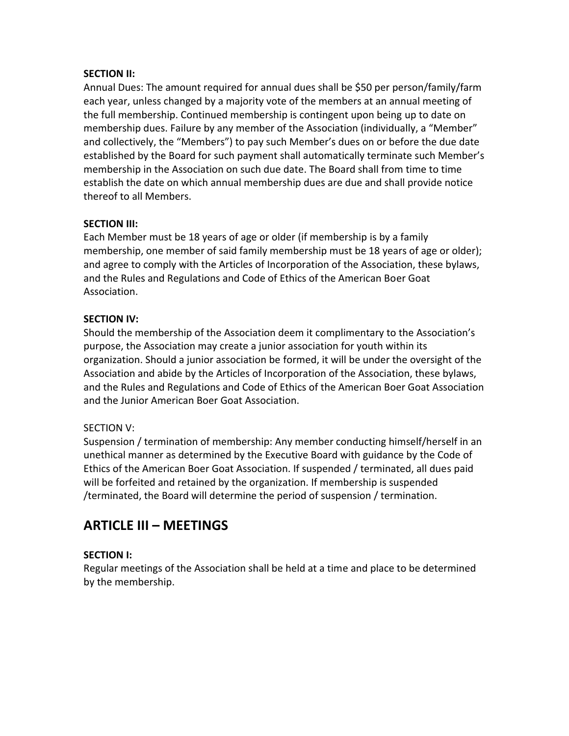#### **SECTION II:**

Annual Dues: The amount required for annual dues shall be \$50 per person/family/farm each year, unless changed by a majority vote of the members at an annual meeting of the full membership. Continued membership is contingent upon being up to date on membership dues. Failure by any member of the Association (individually, a "Member" and collectively, the "Members") to pay such Member's dues on or before the due date established by the Board for such payment shall automatically terminate such Member's membership in the Association on such due date. The Board shall from time to time establish the date on which annual membership dues are due and shall provide notice thereof to all Members.

#### **SECTION III:**

Each Member must be 18 years of age or older (if membership is by a family membership, one member of said family membership must be 18 years of age or older); and agree to comply with the Articles of Incorporation of the Association, these bylaws, and the Rules and Regulations and Code of Ethics of the American Boer Goat Association.

### **SECTION IV:**

Should the membership of the Association deem it complimentary to the Association's purpose, the Association may create a junior association for youth within its organization. Should a junior association be formed, it will be under the oversight of the Association and abide by the Articles of Incorporation of the Association, these bylaws, and the Rules and Regulations and Code of Ethics of the American Boer Goat Association and the Junior American Boer Goat Association.

### SECTION V:

Suspension / termination of membership: Any member conducting himself/herself in an unethical manner as determined by the Executive Board with guidance by the Code of Ethics of the American Boer Goat Association. If suspended / terminated, all dues paid will be forfeited and retained by the organization. If membership is suspended /terminated, the Board will determine the period of suspension / termination.

## **ARTICLE III – MEETINGS**

### **SECTION I:**

Regular meetings of the Association shall be held at a time and place to be determined by the membership.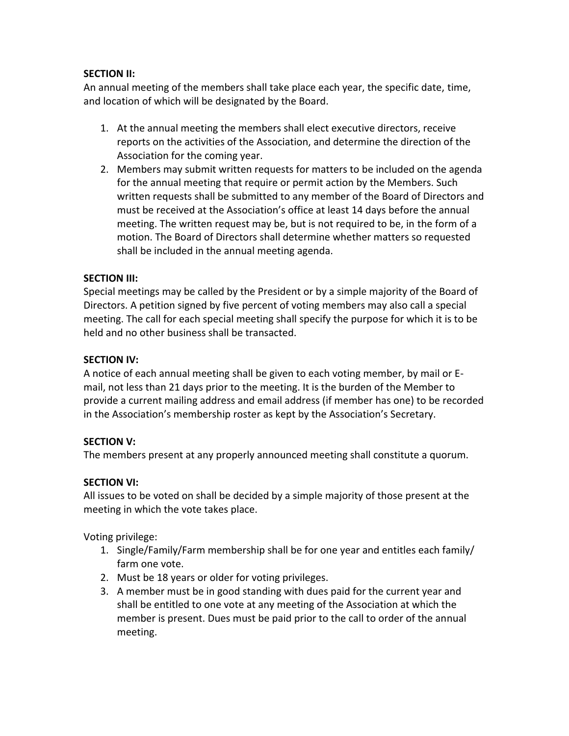### **SECTION II:**

An annual meeting of the members shall take place each year, the specific date, time, and location of which will be designated by the Board.

- 1. At the annual meeting the members shall elect executive directors, receive reports on the activities of the Association, and determine the direction of the Association for the coming year.
- 2. Members may submit written requests for matters to be included on the agenda for the annual meeting that require or permit action by the Members. Such written requests shall be submitted to any member of the Board of Directors and must be received at the Association's office at least 14 days before the annual meeting. The written request may be, but is not required to be, in the form of a motion. The Board of Directors shall determine whether matters so requested shall be included in the annual meeting agenda.

#### **SECTION III:**

Special meetings may be called by the President or by a simple majority of the Board of Directors. A petition signed by five percent of voting members may also call a special meeting. The call for each special meeting shall specify the purpose for which it is to be held and no other business shall be transacted.

#### **SECTION IV:**

A notice of each annual meeting shall be given to each voting member, by mail or Email, not less than 21 days prior to the meeting. It is the burden of the Member to provide a current mailing address and email address (if member has one) to be recorded in the Association's membership roster as kept by the Association's Secretary.

### **SECTION V:**

The members present at any properly announced meeting shall constitute a quorum.

#### **SECTION VI:**

All issues to be voted on shall be decided by a simple majority of those present at the meeting in which the vote takes place.

Voting privilege:

- 1. Single/Family/Farm membership shall be for one year and entitles each family/ farm one vote.
- 2. Must be 18 years or older for voting privileges.
- 3. A member must be in good standing with dues paid for the current year and shall be entitled to one vote at any meeting of the Association at which the member is present. Dues must be paid prior to the call to order of the annual meeting.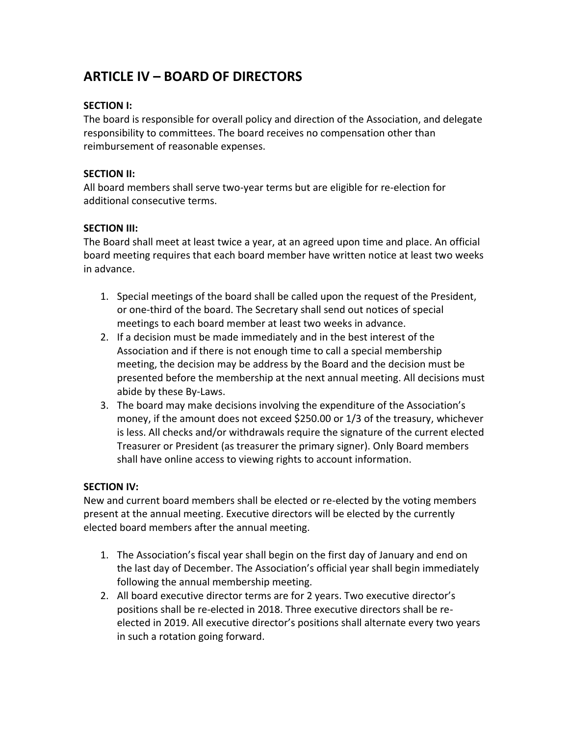# **ARTICLE IV – BOARD OF DIRECTORS**

### **SECTION I:**

The board is responsible for overall policy and direction of the Association, and delegate responsibility to committees. The board receives no compensation other than reimbursement of reasonable expenses.

#### **SECTION II:**

All board members shall serve two-year terms but are eligible for re-election for additional consecutive terms.

### **SECTION III:**

The Board shall meet at least twice a year, at an agreed upon time and place. An official board meeting requires that each board member have written notice at least two weeks in advance.

- 1. Special meetings of the board shall be called upon the request of the President, or one-third of the board. The Secretary shall send out notices of special meetings to each board member at least two weeks in advance.
- 2. If a decision must be made immediately and in the best interest of the Association and if there is not enough time to call a special membership meeting, the decision may be address by the Board and the decision must be presented before the membership at the next annual meeting. All decisions must abide by these By-Laws.
- 3. The board may make decisions involving the expenditure of the Association's money, if the amount does not exceed \$250.00 or 1/3 of the treasury, whichever is less. All checks and/or withdrawals require the signature of the current elected Treasurer or President (as treasurer the primary signer). Only Board members shall have online access to viewing rights to account information.

### **SECTION IV:**

New and current board members shall be elected or re-elected by the voting members present at the annual meeting. Executive directors will be elected by the currently elected board members after the annual meeting.

- 1. The Association's fiscal year shall begin on the first day of January and end on the last day of December. The Association's official year shall begin immediately following the annual membership meeting.
- 2. All board executive director terms are for 2 years. Two executive director's positions shall be re-elected in 2018. Three executive directors shall be reelected in 2019. All executive director's positions shall alternate every two years in such a rotation going forward.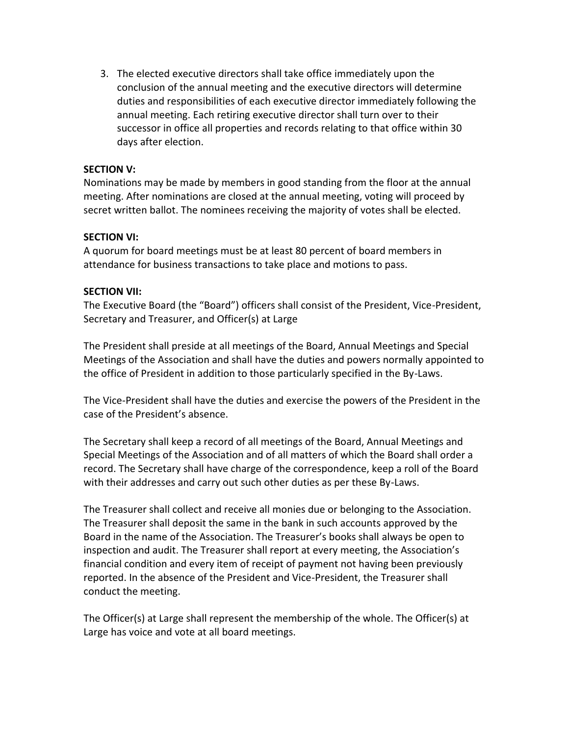3. The elected executive directors shall take office immediately upon the conclusion of the annual meeting and the executive directors will determine duties and responsibilities of each executive director immediately following the annual meeting. Each retiring executive director shall turn over to their successor in office all properties and records relating to that office within 30 days after election.

#### **SECTION V:**

Nominations may be made by members in good standing from the floor at the annual meeting. After nominations are closed at the annual meeting, voting will proceed by secret written ballot. The nominees receiving the majority of votes shall be elected.

#### **SECTION VI:**

A quorum for board meetings must be at least 80 percent of board members in attendance for business transactions to take place and motions to pass.

#### **SECTION VII:**

The Executive Board (the "Board") officers shall consist of the President, Vice-President, Secretary and Treasurer, and Officer(s) at Large

The President shall preside at all meetings of the Board, Annual Meetings and Special Meetings of the Association and shall have the duties and powers normally appointed to the office of President in addition to those particularly specified in the By-Laws.

The Vice-President shall have the duties and exercise the powers of the President in the case of the President's absence.

The Secretary shall keep a record of all meetings of the Board, Annual Meetings and Special Meetings of the Association and of all matters of which the Board shall order a record. The Secretary shall have charge of the correspondence, keep a roll of the Board with their addresses and carry out such other duties as per these By-Laws.

The Treasurer shall collect and receive all monies due or belonging to the Association. The Treasurer shall deposit the same in the bank in such accounts approved by the Board in the name of the Association. The Treasurer's books shall always be open to inspection and audit. The Treasurer shall report at every meeting, the Association's financial condition and every item of receipt of payment not having been previously reported. In the absence of the President and Vice-President, the Treasurer shall conduct the meeting.

The Officer(s) at Large shall represent the membership of the whole. The Officer(s) at Large has voice and vote at all board meetings.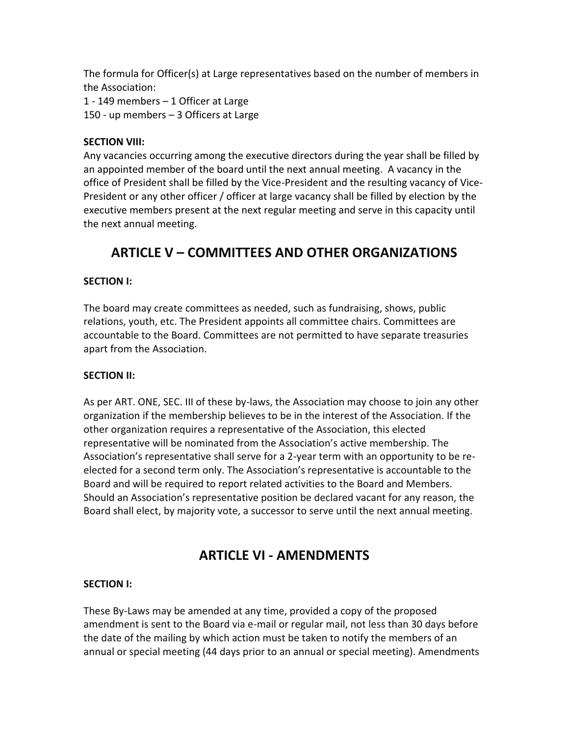The formula for Officer(s) at Large representatives based on the number of members in the Association:

1 - 149 members – 1 Officer at Large 150 - up members – 3 Officers at Large

#### **SECTION VIII:**

Any vacancies occurring among the executive directors during the year shall be filled by an appointed member of the board until the next annual meeting. A vacancy in the office of President shall be filled by the Vice-President and the resulting vacancy of Vice-President or any other officer / officer at large vacancy shall be filled by election by the executive members present at the next regular meeting and serve in this capacity until the next annual meeting.

# **ARTICLE V – COMMITTEES AND OTHER ORGANIZATIONS**

### **SECTION I:**

The board may create committees as needed, such as fundraising, shows, public relations, youth, etc. The President appoints all committee chairs. Committees are accountable to the Board. Committees are not permitted to have separate treasuries apart from the Association.

### **SECTION II:**

As per ART. ONE, SEC. III of these by-laws, the Association may choose to join any other organization if the membership believes to be in the interest of the Association. If the other organization requires a representative of the Association, this elected representative will be nominated from the Association's active membership. The Association's representative shall serve for a 2-year term with an opportunity to be reelected for a second term only. The Association's representative is accountable to the Board and will be required to report related activities to the Board and Members. Should an Association's representative position be declared vacant for any reason, the Board shall elect, by majority vote, a successor to serve until the next annual meeting.

## **ARTICLE VI - AMENDMENTS**

### **SECTION I:**

These By-Laws may be amended at any time, provided a copy of the proposed amendment is sent to the Board via e-mail or regular mail, not less than 30 days before the date of the mailing by which action must be taken to notify the members of an annual or special meeting (44 days prior to an annual or special meeting). Amendments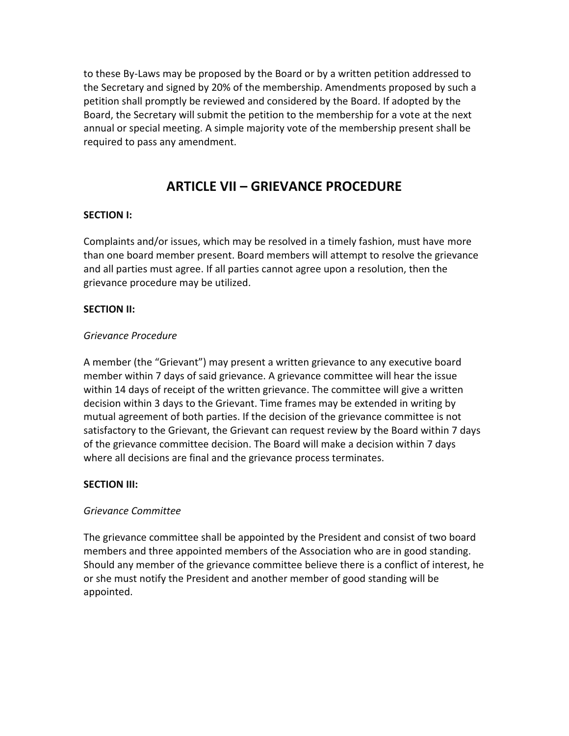to these By-Laws may be proposed by the Board or by a written petition addressed to the Secretary and signed by 20% of the membership. Amendments proposed by such a petition shall promptly be reviewed and considered by the Board. If adopted by the Board, the Secretary will submit the petition to the membership for a vote at the next annual or special meeting. A simple majority vote of the membership present shall be required to pass any amendment.

### **ARTICLE VII – GRIEVANCE PROCEDURE**

#### **SECTION I:**

Complaints and/or issues, which may be resolved in a timely fashion, must have more than one board member present. Board members will attempt to resolve the grievance and all parties must agree. If all parties cannot agree upon a resolution, then the grievance procedure may be utilized.

#### **SECTION II:**

#### *Grievance Procedure*

A member (the "Grievant") may present a written grievance to any executive board member within 7 days of said grievance. A grievance committee will hear the issue within 14 days of receipt of the written grievance. The committee will give a written decision within 3 days to the Grievant. Time frames may be extended in writing by mutual agreement of both parties. If the decision of the grievance committee is not satisfactory to the Grievant, the Grievant can request review by the Board within 7 days of the grievance committee decision. The Board will make a decision within 7 days where all decisions are final and the grievance process terminates.

#### **SECTION III:**

#### *Grievance Committee*

The grievance committee shall be appointed by the President and consist of two board members and three appointed members of the Association who are in good standing. Should any member of the grievance committee believe there is a conflict of interest, he or she must notify the President and another member of good standing will be appointed.